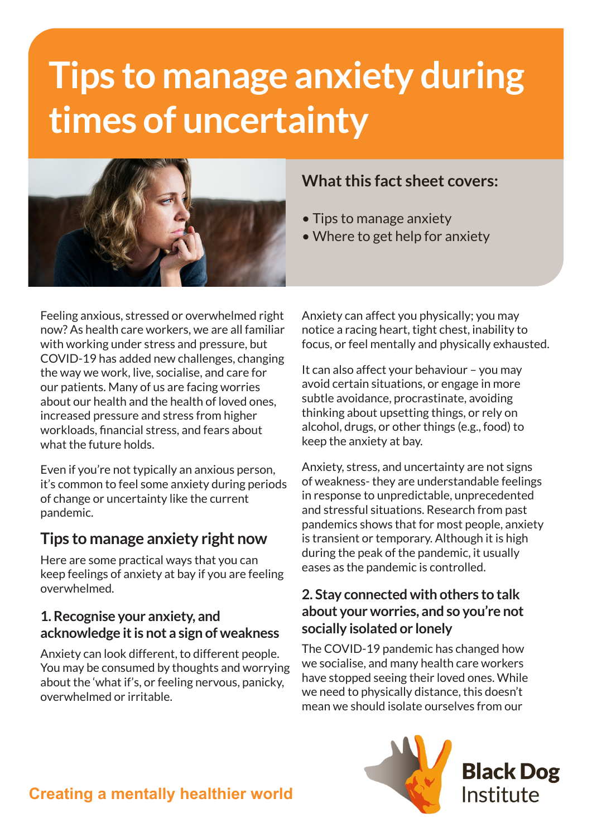# **Tips to manage anxiety during times of uncertainty**



Feeling anxious, stressed or overwhelmed right now? As health care workers, we are all familiar with working under stress and pressure, but COVID-19 has added new challenges, changing the way we work, live, socialise, and care for our patients. Many of us are facing worries about our health and the health of loved ones, increased pressure and stress from higher workloads, financial stress, and fears about what the future holds.

Even if you're not typically an anxious person, it's common to feel some anxiety during periods of change or uncertainty like the current pandemic.

## **Tips to manage anxiety right now**

Here are some practical ways that you can keep feelings of anxiety at bay if you are feeling overwhelmed.

#### **1. Recognise your anxiety, and acknowledge it is not a sign of weakness**

Anxiety can look different, to different people. You may be consumed by thoughts and worrying about the 'what if's, or feeling nervous, panicky, overwhelmed or irritable.

## **What this fact sheet covers:**

- Tips to manage anxiety
- Where to get help for anxiety

Anxiety can affect you physically; you may notice a racing heart, tight chest, inability to focus, or feel mentally and physically exhausted.

It can also affect your behaviour – you may avoid certain situations, or engage in more subtle avoidance, procrastinate, avoiding thinking about upsetting things, or rely on alcohol, drugs, or other things (e.g., food) to keep the anxiety at bay.

Anxiety, stress, and uncertainty are not signs of weakness- they are understandable feelings in response to unpredictable, unprecedented and stressful situations. Research from past pandemics shows that for most people, anxiety is transient or temporary. Although it is high during the peak of the pandemic, it usually eases as the pandemic is controlled.

#### **2. Stay connected with others to talk about your worries, and so you're not socially isolated or lonely**

The COVID-19 pandemic has changed how we socialise, and many health care workers have stopped seeing their loved ones. While we need to physically distance, this doesn't mean we should isolate ourselves from our



# **Creating a mentally healthier world**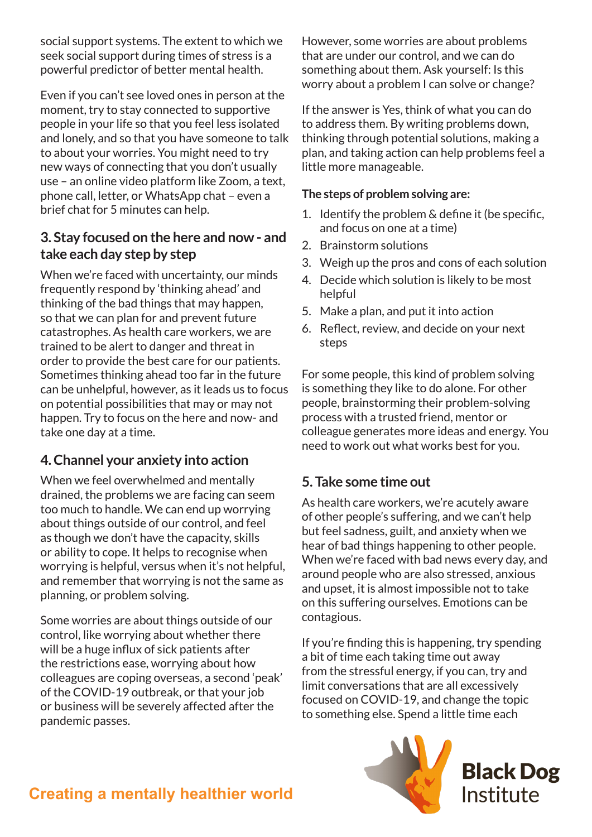social support systems. The extent to which we seek social support during times of stress is a powerful predictor of better mental health.

Even if you can't see loved ones in person at the moment, try to stay connected to supportive people in your life so that you feel less isolated and lonely, and so that you have someone to talk to about your worries. You might need to try new ways of connecting that you don't usually use – an online video platform like Zoom, a text, phone call, letter, or WhatsApp chat – even a brief chat for 5 minutes can help.

#### **3. Stay focused on the here and now - and take each day step by step**

When we're faced with uncertainty, our minds frequently respond by 'thinking ahead' and thinking of the bad things that may happen, so that we can plan for and prevent future catastrophes. As health care workers, we are trained to be alert to danger and threat in order to provide the best care for our patients. Sometimes thinking ahead too far in the future can be unhelpful, however, as it leads us to focus on potential possibilities that may or may not happen. Try to focus on the here and now- and take one day at a time.

## **4. Channel your anxiety into action**

When we feel overwhelmed and mentally drained, the problems we are facing can seem too much to handle. We can end up worrying about things outside of our control, and feel as though we don't have the capacity, skills or ability to cope. It helps to recognise when worrying is helpful, versus when it's not helpful, and remember that worrying is not the same as planning, or problem solving.

Some worries are about things outside of our control, like worrying about whether there will be a huge influx of sick patients after the restrictions ease, worrying about how colleagues are coping overseas, a second 'peak' of the COVID-19 outbreak, or that your job or business will be severely affected after the pandemic passes.

However, some worries are about problems that are under our control, and we can do something about them. Ask yourself: Is this worry about a problem I can solve or change?

If the answer is Yes, think of what you can do to address them. By writing problems down, thinking through potential solutions, making a plan, and taking action can help problems feel a little more manageable.

#### **The steps of problem solving are:**

- 1. Identify the problem & define it (be specific, and focus on one at a time)
- 2. Brainstorm solutions
- 3. Weigh up the pros and cons of each solution
- 4. Decide which solution is likely to be most helpful
- 5. Make a plan, and put it into action
- 6. Reflect, review, and decide on your next steps

For some people, this kind of problem solving is something they like to do alone. For other people, brainstorming their problem-solving process with a trusted friend, mentor or colleague generates more ideas and energy. You need to work out what works best for you.

## **5. Take some time out**

As health care workers, we're acutely aware of other people's suffering, and we can't help but feel sadness, guilt, and anxiety when we hear of bad things happening to other people. When we're faced with bad news every day, and around people who are also stressed, anxious and upset, it is almost impossible not to take on this suffering ourselves. Emotions can be contagious.

If you're finding this is happening, try spending a bit of time each taking time out away from the stressful energy, if you can, try and limit conversations that are all excessively focused on COVID-19, and change the topic to something else. Spend a little time each



**Black Dog** Institute

# **Creating a mentally healthier world**